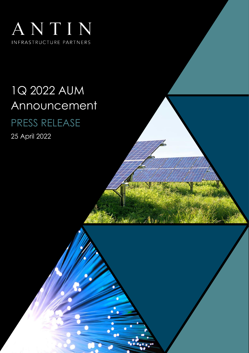

# 1Q 2022 AUM Announcement PRESS RELEASE

25 April 2022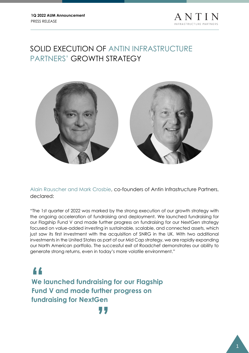

# SOLID EXECUTION OF ANTIN INFRASTRUCTURE PARTNERS' GROWTH STRATEGY



Alain Rauscher and Mark Crosbie, co-founders of Antin Infrastructure Partners, declared:

"The 1st quarter of 2022 was marked by the strong execution of our growth strategy with the ongoing acceleration of fundraising and deployment. We launched fundraising for our Flagship Fund V and made further progress on fundraising for our NextGen strategy focused on value-added investing in sustainable, scalable, and connected assets, which just saw its first investment with the acquisition of SNRG in the UK. With two additional investments in the United States as part of our Mid Cap strategy, we are rapidly expanding our North American portfolio. The successful exit of Roadchef demonstrates our ability to generate strong returns, even in today's more volatile environment."

**We launched fundraising for our Flagship Fund V and made further progress on fundraising for NextGen 14**<br>We<br>Fund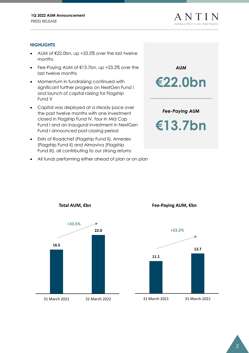# **HIGHLIGHTS**

- AUM of  $\epsilon$ 22.0bn, up +33.5% over the last twelve months
- Fee-Paying AUM of €13.7bn, up +23.2% over the last twelve months
- Momentum in fundraising continued with significant further progress on NextGen Fund I and launch of capital raising for Flagship Fund V
- Capital was deployed at a steady pace over the past twelve months with one investment closed in Flagship Fund IV, four in Mid Cap Fund I and an inaugural investment in NextGen Fund I announced post-closing period
- Exits of Roadchef (Flagship Fund II), Amedes (Flagship Fund II) and Almaviva (Flagship Fund III), all contributing to our strong returns
- All funds performing either ahead of plan or on plan





**Fee-Paying AUM, €bn**

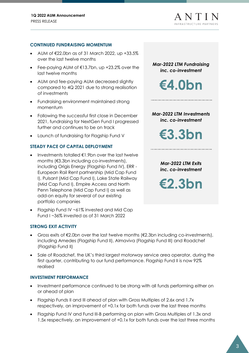#### **CONTINUED FUNDRAISING MOMENTUM**

- AUM of  $\leq$ 22.0bn as of 31 March 2022, up +33.5% over the last twelve months
- Fee-paying AUM of €13.7bn, up +23.2% over the last twelve months
- AUM and fee-paying AUM decreased slightly compared to 4Q 2021 due to strong realisation of investments
- Fundraising environment maintained strong momentum
- Following the successful first close in December 2021, fundraising for NextGen Fund I progressed further and continues to be on track
- Launch of fundraising for Flagship Fund V

## **STEADY PACE OF CAPITAL DEPLOYMENT**

- Investments totalled €1.9bn over the last twelve months (€3.3bn including co-investments), including Origis Energy (Flagship Fund IV), ERR - European Rail Rent partnership (Mid Cap Fund I), Pulsant (Mid Cap Fund I), Lake State Railway (Mid Cap Fund I), Empire Access and North Penn Telephone (Mid Cap Fund I) as well as add-on equity for several of our existing portfolio companies
- Flagship Fund IV ~61% invested and Mid Cap Fund I ~36% invested as of 31 March 2022

#### **STRONG EXIT ACTIVITY**

- Gross exits of  $\epsilon$ 2.0bn over the last twelve months ( $\epsilon$ 2.3bn including co-investments), including Amedes (Flagship Fund II), Almaviva (Flagship Fund III) and Roadchef (Flagship Fund II)
- Sale of Roadchef, the UK's third largest motorway service area operator, during the first quarter, contributing to our fund performance. Flagship Fund II is now 92% realised

#### **INVESTMENT PERFORMANCE**

- Investment performance continued to be strong with all funds performing either on or ahead of plan
- Flagship Funds II and III ahead of plan with Gross Multiples of 2.6x and 1.7x respectively, an improvement of +0.1x for both funds over the last three months
- Flagship Fund IV and Fund III-B performing on plan with Gross Multiples of 1.3x and 1.5x respectively, an improvement of +0.1x for both funds over the last three months

**€4.0bn** *Mar-2022 LTM Investments inc. co-investment*

*Mar-2022 LTM Fundraising inc. co-investment*

**€3.3bn**

*Mar-2022 LTM Exits inc. co-investment*

**€2.3bn**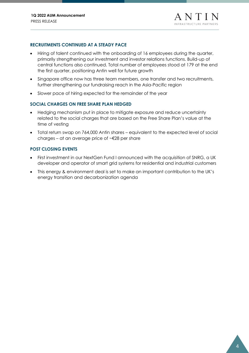## **RECRUITMENTS CONTINUED AT A STEADY PACE**

- Hiring of talent continued with the onboarding of 16 employees during the quarter, primarily strengthening our investment and investor relations functions. Build-up of central functions also continued. Total number of employees stood at 179 at the end the first quarter, positioning Antin well for future growth
- Singapore office now has three team members, one transfer and two recruitments, further strengthening our fundraising reach in the Asia-Pacific region
- Slower pace of hiring expected for the remainder of the year

## **SOCIAL CHARGES ON FREE SHARE PLAN HEDGED**

- Hedging mechanism put in place to mitigate exposure and reduce uncertainty related to the social charges that are based on the Free Share Plan's value at the time of vesting
- Total return swap on 764,000 Antin shares equivalent to the expected level of social charges – at an average price of  $\sim \epsilon$ 28 per share

## **POST CLOSING EVENTS**

- First investment in our NextGen Fund I announced with the acquisition of SNRG, a UK developer and operator of smart grid systems for residential and industrial customers
- This energy & environment deal is set to make an important contribution to the UK's energy transition and decarbonization agenda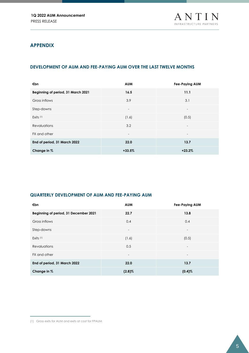# **APPENDIX**

# **DEVELOPMENT OF AUM AND FEE-PAYING AUM OVER THE LAST TWELVE MONTHS**

| €bn                                | <b>AUM</b>               | <b>Fee-Paying AUM</b>    |
|------------------------------------|--------------------------|--------------------------|
| Beginning of period, 31 March 2021 | 16.5                     | 11.1                     |
| Gross inflows                      | 3.9                      | 3.1                      |
| Step-downs                         | $\overline{\phantom{a}}$ | $\overline{\phantom{0}}$ |
| Exits (1)                          | (1.6)                    | (0.5)                    |
| <b>Revaluations</b>                | 3.2                      | $\overline{\phantom{a}}$ |
| FX and other                       |                          | $\overline{\phantom{a}}$ |
| End of period, 31 March 2022       | 22.0                     | 13.7                     |
| Change in %                        | $+33.5%$                 | $+23.2%$                 |

### **QUARTERLY DEVELOPMENT OF AUM AND FEE-PAYING AUM**

| €bn                                   | <b>AUM</b>               | Fee-Paying AUM           |
|---------------------------------------|--------------------------|--------------------------|
| Beginning of period, 31 December 2021 | 22.7                     | 13.8                     |
| Gross inflows                         | 0.4                      | 0.4                      |
| Step-downs                            | $\overline{\phantom{a}}$ | $\overline{\phantom{a}}$ |
| Exits $(1)$                           | (1.6)                    | (0.5)                    |
| <b>Revaluations</b>                   | 0.5                      | $\overline{\phantom{a}}$ |
| FX and other                          | $\overline{\phantom{0}}$ | $\overline{\phantom{a}}$ |
| End of period, 31 March 2022          | 22.0                     | 13.7                     |
| Change in %                           | $(2.8)\%$                | $(0.4)$ %                |

<sup>(1)</sup> Gross exits for AUM and exits at cost for FPAUM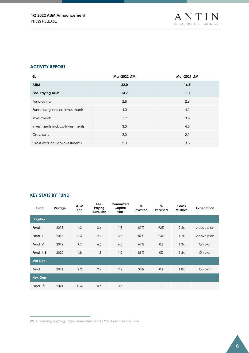#### **ACTIVITY REPORT**

| €bn                              | <b>Mar-2022 LTM</b> | <b>Mar-2021 LTM</b> |
|----------------------------------|---------------------|---------------------|
| <b>AUM</b>                       | 22.0                | 16.5                |
| <b>Fee-Paying AUM</b>            | 13.7                | 11.1                |
| Fundraising                      | 2.8                 | 2.6                 |
| Fundraising incl. co-Investments | 4.0                 | 4.1                 |
| Investments                      | 1.9                 | 3.6                 |
| Investments incl. co-Investments | 3.3                 | 4.8                 |
| Gross exits                      | 2.0                 | 2.1                 |
| Gross exits incl. co-Investments | 2.3                 | 3.3                 |

# **KEY STATS BY FUND**

| Fund            | Vintage | <b>AUM</b><br>€bn | Fee-<br>Paying<br>AUM €bn | Committed<br>Capital<br>€bn | %<br>Invested | %<br><b>Realised</b> | Gross<br><b>Multiple</b> | <b>Expectation</b> |
|-----------------|---------|-------------------|---------------------------|-----------------------------|---------------|----------------------|--------------------------|--------------------|
| <b>Flagship</b> |         |                   |                           |                             |               |                      |                          |                    |
| Fund II         | 2013    | 1.3               | 0.6                       | 1.8                         | 87%           | 92%                  | 2.6x                     | Above plan         |
| <b>Fund III</b> | 2016    | 6.4               | 2.7                       | 3.6                         | 89%           | 24%                  | 1.7x                     | Above plan         |
| <b>Fund IV</b>  | 2019    | 9.7               | 6.5                       | 6.5                         | 61%           | 0%                   | 1.3x                     | On plan            |
| Fund III-B      | 2020    | 1.8               | 1.1                       | 1.2                         | 89%           | 0%                   | 1.5x                     | On plan            |
| <b>Mid Cap</b>  |         |                   |                           |                             |               |                      |                          |                    |
| Fund I          | 2021    | 2.2               | 2.2                       | 2.2                         | 36%           | 0%                   | 1.0x                     | On plan            |
| <b>NextGen</b>  |         |                   |                           |                             |               |                      |                          |                    |
| Fund $I^{(2)}$  | 2021    | 0.6               | 0.6                       | 0.6                         |               |                      |                          | ٠                  |

<sup>(2)</sup> Fundraising ongoing. Target commitments of €1.2bn. Hard cap of €1.5bn.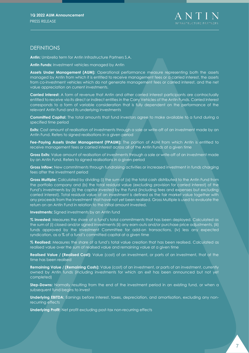# **DEFINITIONS**

**Antin:** Umbrella term for Antin Infrastructure Partners S.A.

**Antin Funds:** Investment vehicles managed by Antin

**Assets Under Management (AUM):** Operational performance measure representing both the assets managed by Antin from which it is entitled to receive management fees or a carried interest, the assets from co-investment vehicles which do not generate management fees or carried interest, and the net value appreciation on current investments.

**Carried Interest:** A form of revenue that Antin and other carried interest participants are contractually entitled to receive via its direct or indirect entities in the Carry Vehicles of the Antin Funds. Carried Interest corresponds to a form of variable consideration that is fully dependent on the performance of the relevant Antin Fund and its underlying investments

**Committed Capital:** The total amounts that fund investors agree to make available to a fund during a specified time period

**Exits:** Cost amount of realisation of investments through a sale or write-off of an investment made by an Antin Fund. Refers to signed realisations in a given period

**Fee-Paying Assets Under Management (FPAUM):** The portion of AUM from which Antin is entitled to receive management fees or carried interest across all of the Antin Funds at a given time

**Gross Exits:** Value amount of realisation of investments through a sale or write-off of an investment made by an Antin Fund. Refers to signed realisations in a given period

**Gross Inflow:** New commitments through fundraising activities or increased investment in funds charging fees after the investment period

**Gross Multiple:** Calculated by dividing (i) the sum of (a) the total cash distributed to the Antin Fund from the portfolio company and (b) the total residual value (excluding provision for carried interest) of the Fund's investments by (ii) the capital invested by the Fund (including fees and expenses but excluding carried interest). Total residual value of an investment is defined as the fair market value together with any proceeds from the investment that have not yet been realised. Gross Multiple is used to evaluate the return on an Antin Fund in relation to the initial amount invested.

**Investments:** Signed investments by an Antin fund

**% Invested:** Measures the share of a fund's total commitments that has been deployed. Calculated as the sum of (i) closed and/or signed investments (ii) any earn-outs and/or purchase price adjustments, (iii) funds approved by the Investment Committee for add-on transactions, (iv) less any expected syndication, as a % of a fund's committed capital at a given time

**% Realised:** Measures the share of a fund's total value creation that has been realised. Calculated as realised value over the sum of realised value and remaining value at a given time

**Realised Value / (Realised Cost):** Value (cost) of an investment, or parts of an investment, that at the time has been realised

**Remaining Value / (Remaining Costs):** Value (cost) of an investment, or parts of an investment, currently owned by Antin funds (including investments for which an exit has been announced but not yet completed)

**Step-Downs:** Normally resulting from the end of the investment period in an existing fund, or when a subsequent fund begins to invest

**Underlying EBITDA:** Earnings before interest, taxes, depreciation, and amortisation, excluding any nonrecurring effects

**Underlying Profit:** Net profit excluding post-tax non-recurring effects